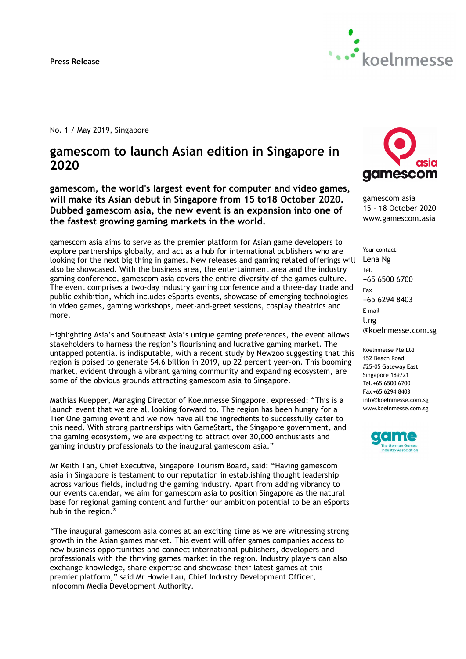Press Release



No. 1 / May 2019, Singapore

# gamescom to launch Asian edition in Singapore in 2020

gamescom, the world's largest event for computer and video games, will make its Asian debut in Singapore from 15 to18 October 2020. Dubbed gamescom asia, the new event is an expansion into one of the fastest growing gaming markets in the world.

gamescom asia aims to serve as the premier platform for Asian game developers to explore partnerships globally, and act as a hub for international publishers who are looking for the next big thing in games. New releases and gaming related offerings will also be showcased. With the business area, the entertainment area and the industry gaming conference, gamescom asia covers the entire diversity of the games culture. The event comprises a two-day industry gaming conference and a three-day trade and public exhibition, which includes eSports events, showcase of emerging technologies in video games, gaming workshops, meet-and-greet sessions, cosplay theatrics and more.

Highlighting Asia's and Southeast Asia's unique gaming preferences, the event allows stakeholders to harness the region's flourishing and lucrative gaming market. The untapped potential is indisputable, with a recent study by Newzoo suggesting that this region is poised to generate \$4.6 billion in 2019, up 22 percent year-on. This booming market, evident through a vibrant gaming community and expanding ecosystem, are some of the obvious grounds attracting gamescom asia to Singapore.

Mathias Kuepper, Managing Director of Koelnmesse Singapore, expressed: "This is a launch event that we are all looking forward to. The region has been hungry for a Tier One gaming event and we now have all the ingredients to successfully cater to this need. With strong partnerships with GameStart, the Singapore government, and the gaming ecosystem, we are expecting to attract over 30,000 enthusiasts and gaming industry professionals to the inaugural gamescom asia."

Mr Keith Tan, Chief Executive, Singapore Tourism Board, said: "Having gamescom asia in Singapore is testament to our reputation in establishing thought leadership across various fields, including the gaming industry. Apart from adding vibrancy to our events calendar, we aim for gamescom asia to position Singapore as the natural base for regional gaming content and further our ambition potential to be an eSports hub in the region."

"The inaugural gamescom asia comes at an exciting time as we are witnessing strong growth in the Asian games market. This event will offer games companies access to new business opportunities and connect international publishers, developers and professionals with the thriving games market in the region. Industry players can also exchange knowledge, share expertise and showcase their latest games at this premier platform," said Mr Howie Lau, Chief Industry Development Officer, Infocomm Media Development Authority.



gamescom asia 15 – 18 October 2020 www.gamescom.asia

Your contact: Lena Ng Tel. +65 6500 6700 Fax +65 6294 8403 E-mail l.ng @koelnmesse.com.sg

Koelnmesse Pte Ltd 152 Beach Road #25-05 Gateway East Singapore 189721 Tel.+65 6500 6700 Fax +65 6294 8403 info@koelnmesse.com.sg www.koelnmesse.com.sg

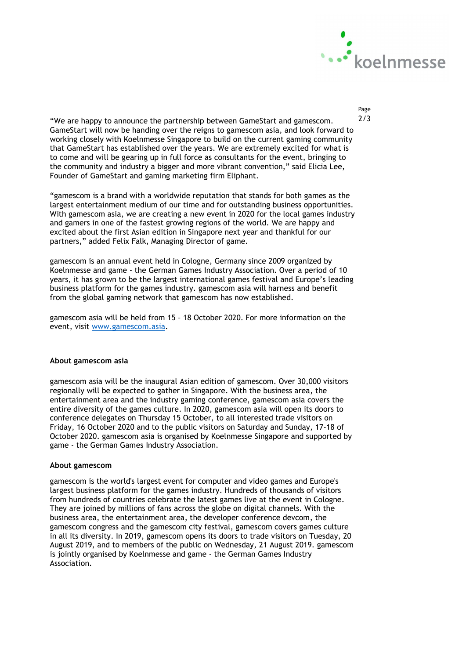

"We are happy to announce the partnership between GameStart and gamescom.  $2/3$ GameStart will now be handing over the reigns to gamescom asia, and look forward to working closely with Koelnmesse Singapore to build on the current gaming community that GameStart has established over the years. We are extremely excited for what is to come and will be gearing up in full force as consultants for the event, bringing to the community and industry a bigger and more vibrant convention," said Elicia Lee, Founder of GameStart and gaming marketing firm Eliphant.

"gamescom is a brand with a worldwide reputation that stands for both games as the largest entertainment medium of our time and for outstanding business opportunities. With gamescom asia, we are creating a new event in 2020 for the local games industry and gamers in one of the fastest growing regions of the world. We are happy and excited about the first Asian edition in Singapore next year and thankful for our partners," added Felix Falk, Managing Director of game.

gamescom is an annual event held in Cologne, Germany since 2009 organized by Koelnmesse and game - the German Games Industry Association. Over a period of 10 years, it has grown to be the largest international games festival and Europe's leading business platform for the games industry. gamescom asia will harness and benefit from the global gaming network that gamescom has now established.

gamescom asia will be held from 15 – 18 October 2020. For more information on the event, visit www.gamescom.asia.

#### About gamescom asia

gamescom asia will be the inaugural Asian edition of gamescom. Over 30,000 visitors regionally will be expected to gather in Singapore. With the business area, the entertainment area and the industry gaming conference, gamescom asia covers the entire diversity of the games culture. In 2020, gamescom asia will open its doors to conference delegates on Thursday 15 October, to all interested trade visitors on Friday, 16 October 2020 and to the public visitors on Saturday and Sunday, 17-18 of October 2020. gamescom asia is organised by Koelnmesse Singapore and supported by game - the German Games Industry Association.

### About gamescom

gamescom is the world's largest event for computer and video games and Europe's largest business platform for the games industry. Hundreds of thousands of visitors from hundreds of countries celebrate the latest games live at the event in Cologne. They are joined by millions of fans across the globe on digital channels. With the business area, the entertainment area, the developer conference devcom, the gamescom congress and the gamescom city festival, gamescom covers games culture in all its diversity. In 2019, gamescom opens its doors to trade visitors on Tuesday, 20 August 2019, and to members of the public on Wednesday, 21 August 2019. gamescom is jointly organised by Koelnmesse and game - the German Games Industry Association.

Page